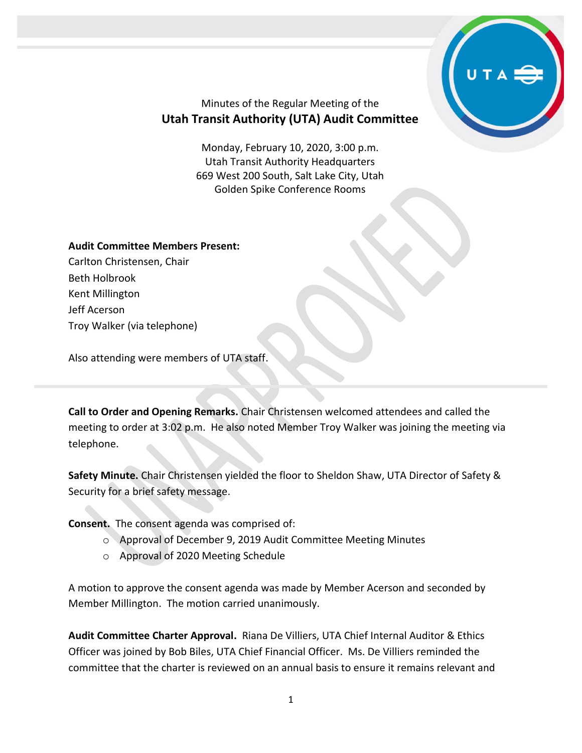

## Minutes of the Regular Meeting of the **Utah Transit Authority (UTA) Audit Committee**

Monday, February 10, 2020, 3:00 p.m. Utah Transit Authority Headquarters 669 West 200 South, Salt Lake City, Utah Golden Spike Conference Rooms

## **Audit Committee Members Present:**

Carlton Christensen, Chair Beth Holbrook Kent Millington Jeff Acerson Troy Walker (via telephone)

Also attending were members of UTA staff.

**Call to Order and Opening Remarks.** Chair Christensen welcomed attendees and called the meeting to order at 3:02 p.m. He also noted Member Troy Walker was joining the meeting via telephone.

**Safety Minute.** Chair Christensen yielded the floor to Sheldon Shaw, UTA Director of Safety & Security for a brief safety message.

**Consent.** The consent agenda was comprised of:

- o Approval of December 9, 2019 Audit Committee Meeting Minutes
- o Approval of 2020 Meeting Schedule

A motion to approve the consent agenda was made by Member Acerson and seconded by Member Millington. The motion carried unanimously.

**Audit Committee Charter Approval.** Riana De Villiers, UTA Chief Internal Auditor & Ethics Officer was joined by Bob Biles, UTA Chief Financial Officer. Ms. De Villiers reminded the committee that the charter is reviewed on an annual basis to ensure it remains relevant and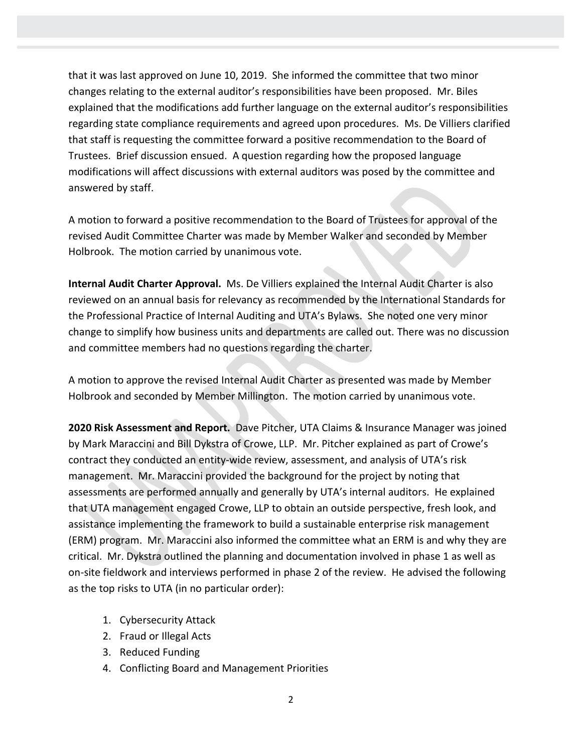that it was last approved on June 10, 2019. She informed the committee that two minor changes relating to the external auditor's responsibilities have been proposed. Mr. Biles explained that the modifications add further language on the external auditor's responsibilities regarding state compliance requirements and agreed upon procedures. Ms. De Villiers clarified that staff is requesting the committee forward a positive recommendation to the Board of Trustees. Brief discussion ensued. A question regarding how the proposed language modifications will affect discussions with external auditors was posed by the committee and answered by staff.

A motion to forward a positive recommendation to the Board of Trustees for approval of the revised Audit Committee Charter was made by Member Walker and seconded by Member Holbrook. The motion carried by unanimous vote.

**Internal Audit Charter Approval.** Ms. De Villiers explained the Internal Audit Charter is also reviewed on an annual basis for relevancy as recommended by the International Standards for the Professional Practice of Internal Auditing and UTA's Bylaws. She noted one very minor change to simplify how business units and departments are called out. There was no discussion and committee members had no questions regarding the charter.

A motion to approve the revised Internal Audit Charter as presented was made by Member Holbrook and seconded by Member Millington. The motion carried by unanimous vote.

**2020 Risk Assessment and Report.** Dave Pitcher, UTA Claims & Insurance Manager was joined by Mark Maraccini and Bill Dykstra of Crowe, LLP. Mr. Pitcher explained as part of Crowe's contract they conducted an entity-wide review, assessment, and analysis of UTA's risk management. Mr. Maraccini provided the background for the project by noting that assessments are performed annually and generally by UTA's internal auditors. He explained that UTA management engaged Crowe, LLP to obtain an outside perspective, fresh look, and assistance implementing the framework to build a sustainable enterprise risk management (ERM) program. Mr. Maraccini also informed the committee what an ERM is and why they are critical. Mr. Dykstra outlined the planning and documentation involved in phase 1 as well as on-site fieldwork and interviews performed in phase 2 of the review. He advised the following as the top risks to UTA (in no particular order):

- 1. Cybersecurity Attack
- 2. Fraud or Illegal Acts
- 3. Reduced Funding
- 4. Conflicting Board and Management Priorities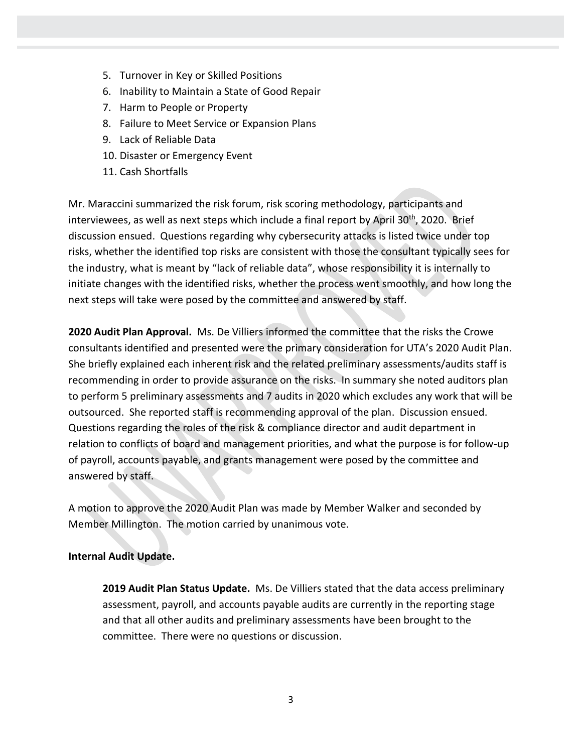- 5. Turnover in Key or Skilled Positions
- 6. Inability to Maintain a State of Good Repair
- 7. Harm to People or Property
- 8. Failure to Meet Service or Expansion Plans
- 9. Lack of Reliable Data
- 10. Disaster or Emergency Event
- 11. Cash Shortfalls

Mr. Maraccini summarized the risk forum, risk scoring methodology, participants and interviewees, as well as next steps which include a final report by April 30<sup>th</sup>, 2020. Brief discussion ensued. Questions regarding why cybersecurity attacks is listed twice under top risks, whether the identified top risks are consistent with those the consultant typically sees for the industry, what is meant by "lack of reliable data", whose responsibility it is internally to initiate changes with the identified risks, whether the process went smoothly, and how long the next steps will take were posed by the committee and answered by staff.

**2020 Audit Plan Approval.** Ms. De Villiers informed the committee that the risks the Crowe consultants identified and presented were the primary consideration for UTA's 2020 Audit Plan. She briefly explained each inherent risk and the related preliminary assessments/audits staff is recommending in order to provide assurance on the risks. In summary she noted auditors plan to perform 5 preliminary assessments and 7 audits in 2020 which excludes any work that will be outsourced. She reported staff is recommending approval of the plan. Discussion ensued. Questions regarding the roles of the risk & compliance director and audit department in relation to conflicts of board and management priorities, and what the purpose is for follow-up of payroll, accounts payable, and grants management were posed by the committee and answered by staff.

A motion to approve the 2020 Audit Plan was made by Member Walker and seconded by Member Millington. The motion carried by unanimous vote.

## **Internal Audit Update.**

**2019 Audit Plan Status Update.** Ms. De Villiers stated that the data access preliminary assessment, payroll, and accounts payable audits are currently in the reporting stage and that all other audits and preliminary assessments have been brought to the committee. There were no questions or discussion.